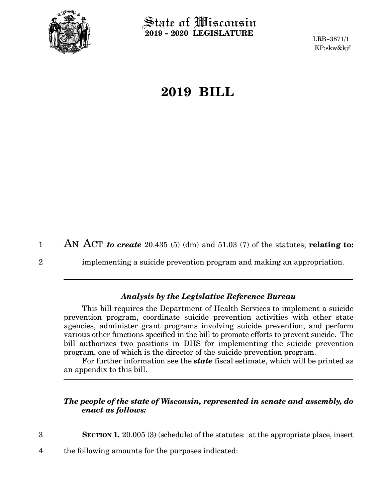

2

3

 $\operatorname{\mathsf{State}}$  of Wisconsin **2019 - 2020 LEGISLATURE**

LRB-3871/1 KP:skw&kjf

# **2019 BILL**

AN ACT *to create* 20.435 (5) (dm) and 51.03 (7) of the statutes; **relating to:** 1

implementing a suicide prevention program and making an appropriation.

### *Analysis by the Legislative Reference Bureau*

This bill requires the Department of Health Services to implement a suicide prevention program, coordinate suicide prevention activities with other state agencies, administer grant programs involving suicide prevention, and perform various other functions specified in the bill to promote efforts to prevent suicide. The bill authorizes two positions in DHS for implementing the suicide prevention program, one of which is the director of the suicide prevention program.

For further information see the *state* fiscal estimate, which will be printed as an appendix to this bill.

### *The people of the state of Wisconsin, represented in senate and assembly, do enact as follows:*

**SECTION 1.** 20.005 (3) (schedule) of the statutes: at the appropriate place, insert

the following amounts for the purposes indicated: 4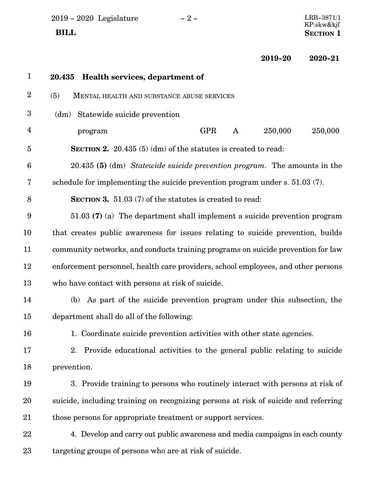2019 - 2020 Legislature - 2 -  $\,$ 

 $\begin{array}{c} \text{LRB-3871/1}\ \text{KP:skw\&kjf} \end{array}$  **BILL** SECTION 1

**2019-20 2020-21**

| $\mathbf{1}$            | 20.435 Health services, department of                                               |
|-------------------------|-------------------------------------------------------------------------------------|
| $\overline{2}$          | (5)<br>MENTAL HEALTH AND SUBSTANCE ABUSE SERVICES                                   |
| $\boldsymbol{3}$        | Statewide suicide prevention<br>(dm)                                                |
| $\overline{\mathbf{4}}$ | 250,000<br><b>GPR</b><br>250,000<br>A<br>program                                    |
| $\overline{5}$          | <b>SECTION 2.</b> 20.435 $(5)$ (dm) of the statutes is created to read:             |
| 6                       | 20.435 (5) (dm) Statewide suicide prevention program. The amounts in the            |
| 7                       | schedule for implementing the suicide prevention program under s. 51.03 (7).        |
| 8                       | <b>SECTION 3.</b> 51.03 (7) of the statutes is created to read:                     |
| 9                       | 51.03 (7) (a) The department shall implement a suicide prevention program           |
| 10                      | that creates public awareness for issues relating to suicide prevention, builds     |
| 11                      | community networks, and conducts training programs on suicide prevention for law    |
| 12                      | enforcement personnel, health care providers, school employees, and other persons   |
| 13                      | who have contact with persons at risk of suicide.                                   |
| 14                      | (b) As part of the suicide prevention program under this subsection, the            |
| 15                      | department shall do all of the following:                                           |
| 16                      | 1. Coordinate suicide prevention activities with other state agencies.              |
| 17                      | 2. Provide educational activities to the general public relating to suicide         |
| 18                      | prevention.                                                                         |
| 19                      | 3. Provide training to persons who routinely interact with persons at risk of       |
| 20                      | suicide, including training on recognizing persons at risk of suicide and referring |
| 21                      | those persons for appropriate treatment or support services.                        |
| 22                      | 4. Develop and carry out public awareness and media campaigns in each county        |
| 23                      | targeting groups of persons who are at risk of suicide.                             |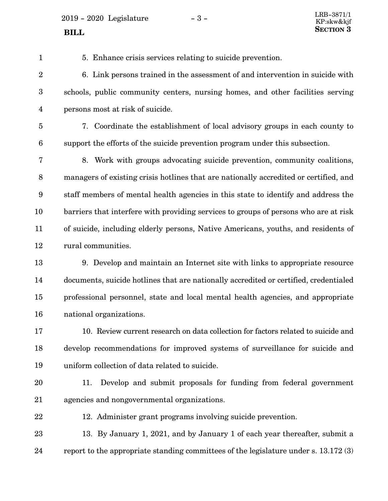$2019 - 2020$  Legislature  $-3 -$ 

5. Enhance crisis services relating to suicide prevention.

6. Link persons trained in the assessment of and intervention in suicide with schools, public community centers, nursing homes, and other facilities serving persons most at risk of suicide. 2 3 4

5

6

1

7. Coordinate the establishment of local advisory groups in each county to support the efforts of the suicide prevention program under this subsection.

8. Work with groups advocating suicide prevention, community coalitions, managers of existing crisis hotlines that are nationally accredited or certified, and staff members of mental health agencies in this state to identify and address the barriers that interfere with providing services to groups of persons who are at risk of suicide, including elderly persons, Native Americans, youths, and residents of rural communities. 7 8 9 10 11 12

9. Develop and maintain an Internet site with links to appropriate resource documents, suicide hotlines that are nationally accredited or certified, credentialed professional personnel, state and local mental health agencies, and appropriate national organizations. 13 14 15 16

10. Review current research on data collection for factors related to suicide and develop recommendations for improved systems of surveillance for suicide and uniform collection of data related to suicide. 17 18 19

- 11. Develop and submit proposals for funding from federal government agencies and nongovernmental organizations. 20 21
- 22

12. Administer grant programs involving suicide prevention.

13. By January 1, 2021, and by January 1 of each year thereafter, submit a report to the appropriate standing committees of the legislature under s. 13.172 (3) 23 24